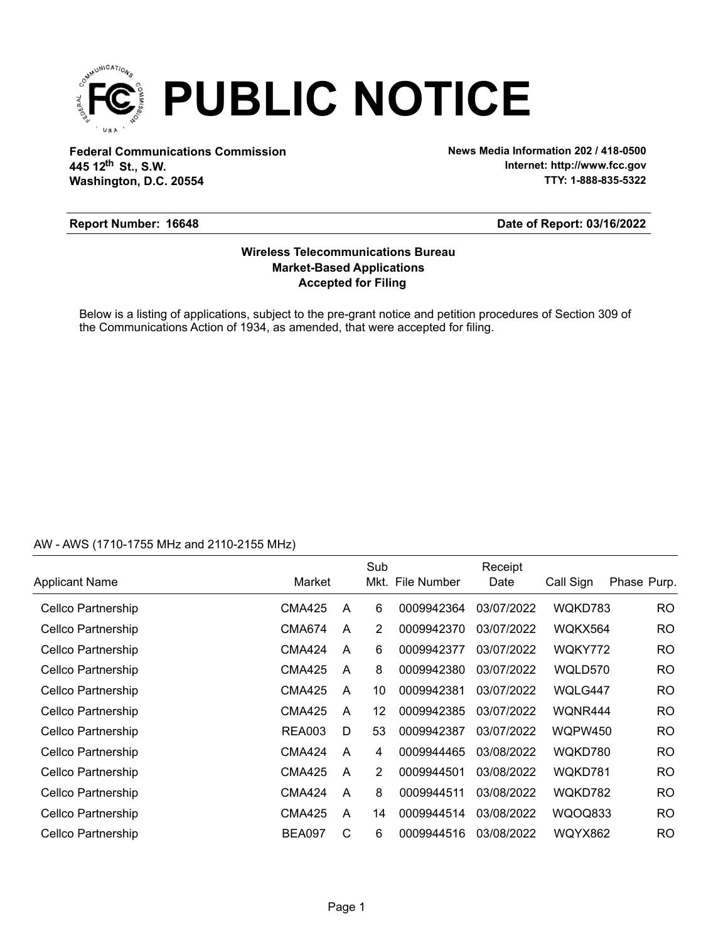

**Federal Communications Commission News Media Information 202 / 418-0500 Washington, D.C. 20554 th 445 12 St., S.W.**

**Internet: http://www.fcc.gov TTY: 1-888-835-5322**

### **Report Number: 16648**

### **Date of Report: 03/16/2022**

## **Accepted for Filing Market-Based Applications Wireless Telecommunications Bureau**

Below is a listing of applications, subject to the pre-grant notice and petition procedures of Section 309 of the Communications Action of 1934, as amended, that were accepted for filing.

## AW - AWS (1710-1755 MHz and 2110-2155 MHz)

|                       |               |   | Sub            |                  | Receipt    |                |             |
|-----------------------|---------------|---|----------------|------------------|------------|----------------|-------------|
| <b>Applicant Name</b> | Market        |   |                | Mkt. File Number | Date       | Call Sign      | Phase Purp. |
| Cellco Partnership    | CMA425        | A | 6              | 0009942364       | 03/07/2022 | WQKD783        | <b>RO</b>   |
| Cellco Partnership    | <b>CMA674</b> | A | 2              | 0009942370       | 03/07/2022 | WQKX564        | <b>RO</b>   |
| Cellco Partnership    | <b>CMA424</b> | A | 6              | 0009942377       | 03/07/2022 | WQKY772        | RO.         |
| Cellco Partnership    | <b>CMA425</b> | A | 8              | 0009942380       | 03/07/2022 | WQLD570        | <b>RO</b>   |
| Cellco Partnership    | <b>CMA425</b> | A | 10             | 0009942381       | 03/07/2022 | WQLG447        | <b>RO</b>   |
| Cellco Partnership    | <b>CMA425</b> | A | 12             | 0009942385       | 03/07/2022 | WQNR444        | <b>RO</b>   |
| Cellco Partnership    | <b>REA003</b> | D | 53             | 0009942387       | 03/07/2022 | <b>WQPW450</b> | <b>RO</b>   |
| Cellco Partnership    | <b>CMA424</b> | A | 4              | 0009944465       | 03/08/2022 | WQKD780        | <b>RO</b>   |
| Cellco Partnership    | <b>CMA425</b> | A | $\overline{2}$ | 0009944501       | 03/08/2022 | WQKD781        | <b>RO</b>   |
| Cellco Partnership    | <b>CMA424</b> | A | 8              | 0009944511       | 03/08/2022 | WQKD782        | <b>RO</b>   |
| Cellco Partnership    | CMA425        | A | 14             | 0009944514       | 03/08/2022 | WQOQ833        | <b>RO</b>   |
| Cellco Partnership    | <b>BEA097</b> | C | 6              | 0009944516       | 03/08/2022 | <b>WQYX862</b> | <b>RO</b>   |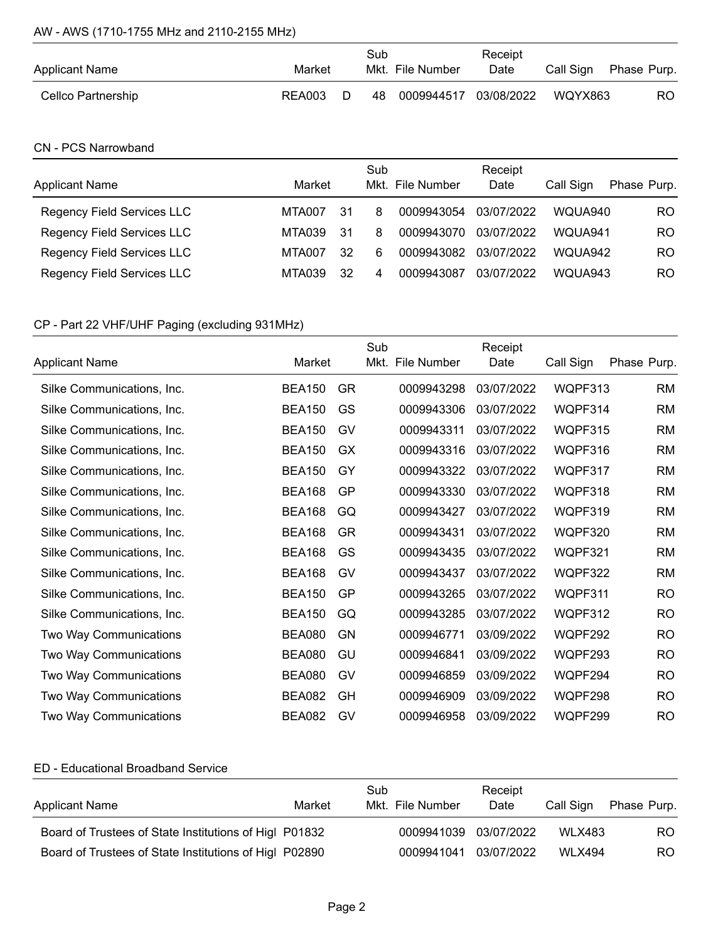## AW - AWS (1710-1755 MHz and 2110-2155 MHz)

| <b>Applicant Name</b> | Market |   | Sub | Mkt. File Number      | Receipt<br>Date | Call Sign | Phase Purp. |
|-----------------------|--------|---|-----|-----------------------|-----------------|-----------|-------------|
| Cellco Partnership    | REA003 | D | 48  | 0009944517 03/08/2022 |                 | WQYX863   | RO.         |

## CN - PCS Narrowband

| <b>Applicant Name</b>      | Market |    | Sub | Mkt. File Number | Receipt<br>Date | Call Sign | Phase Purp. |
|----------------------------|--------|----|-----|------------------|-----------------|-----------|-------------|
| Regency Field Services LLC | MTA007 | 31 | 8   | 0009943054       | 03/07/2022      | WOUA940   | RO.         |
| Regency Field Services LLC | MTA039 | 31 | 8   | 0009943070       | 03/07/2022      | WOUA941   | RO          |
| Regency Field Services LLC | MTA007 | 32 | 6   | 0009943082       | 03/07/2022      | WOUA942   | RO          |
| Regency Field Services LLC | MTA039 | 32 | 4   | 0009943087       | 03/07/2022      | WOUA943   | RO          |

# CP - Part 22 VHF/UHF Paging (excluding 931MHz)

|                            |               |           | Sub  |             | Receipt    |                |             |
|----------------------------|---------------|-----------|------|-------------|------------|----------------|-------------|
| <b>Applicant Name</b>      | Market        |           | Mkt. | File Number | Date       | Call Sign      | Phase Purp. |
| Silke Communications, Inc. | <b>BEA150</b> | <b>GR</b> |      | 0009943298  | 03/07/2022 | WQPF313        | <b>RM</b>   |
| Silke Communications, Inc. | <b>BEA150</b> | GS        |      | 0009943306  | 03/07/2022 | WQPF314        | <b>RM</b>   |
| Silke Communications, Inc. | <b>BEA150</b> | GV        |      | 0009943311  | 03/07/2022 | WQPF315        | <b>RM</b>   |
| Silke Communications, Inc. | <b>BEA150</b> | GX        |      | 0009943316  | 03/07/2022 | WQPF316        | <b>RM</b>   |
| Silke Communications, Inc. | <b>BEA150</b> | GY        |      | 0009943322  | 03/07/2022 | WQPF317        | <b>RM</b>   |
| Silke Communications, Inc. | <b>BEA168</b> | GP        |      | 0009943330  | 03/07/2022 | WQPF318        | <b>RM</b>   |
| Silke Communications, Inc. | <b>BEA168</b> | GQ        |      | 0009943427  | 03/07/2022 | WQPF319        | <b>RM</b>   |
| Silke Communications, Inc. | <b>BEA168</b> | GR.       |      | 0009943431  | 03/07/2022 | WQPF320        | <b>RM</b>   |
| Silke Communications, Inc. | <b>BEA168</b> | GS        |      | 0009943435  | 03/07/2022 | WQPF321        | <b>RM</b>   |
| Silke Communications, Inc. | <b>BEA168</b> | GV        |      | 0009943437  | 03/07/2022 | WQPF322        | <b>RM</b>   |
| Silke Communications, Inc. | <b>BEA150</b> | GP        |      | 0009943265  | 03/07/2022 | WQPF311        | <b>RO</b>   |
| Silke Communications, Inc. | <b>BEA150</b> | GQ        |      | 0009943285  | 03/07/2022 | WQPF312        | <b>RO</b>   |
| Two Way Communications     | <b>BEA080</b> | GN        |      | 0009946771  | 03/09/2022 | <b>WOPF292</b> | <b>RO</b>   |
| Two Way Communications     | <b>BEA080</b> | GU        |      | 0009946841  | 03/09/2022 | WQPF293        | <b>RO</b>   |
| Two Way Communications     | <b>BEA080</b> | GV        |      | 0009946859  | 03/09/2022 | WQPF294        | <b>RO</b>   |
| Two Way Communications     | <b>BEA082</b> | GH        |      | 0009946909  | 03/09/2022 | WQPF298        | <b>RO</b>   |
| Two Way Communications     | <b>BEA082</b> | GV        |      | 0009946958  | 03/09/2022 | WQPF299        | <b>RO</b>   |

### ED - Educational Broadband Service

| <b>Applicant Name</b>                                  | Market | Sub | Mkt. File Number      | Receipt<br>Date | Call Sign     | Phase Purp. |
|--------------------------------------------------------|--------|-----|-----------------------|-----------------|---------------|-------------|
| Board of Trustees of State Institutions of Higl P01832 |        |     | 0009941039 03/07/2022 |                 | <b>WLX483</b> | RO.         |
| Board of Trustees of State Institutions of Higl P02890 |        |     | 0009941041 03/07/2022 |                 | <b>WLX494</b> | RO.         |